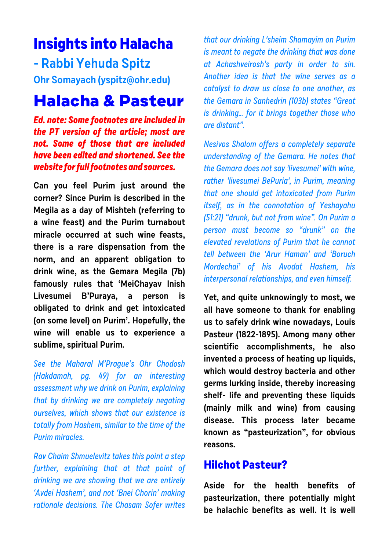# **Insights into Halacha**

**- Rabbi Yehuda Spitz Ohr Somayach [\(yspitz@ohr.edu\)](mailto:(yspitz@ohr.edu))**

## **Halacha & Pasteur**

**Ed. note: Some footnotes are included in the PT version of the article; most are not. Some of those that are included have been edited and shortened. See the website for full footnotes and sources.**

**Can you feel Purim just around the corner? Since Purim is described in the Megila as a day of Mishteh (referring to a wine feast) and the Purim turnabout miracle occurred at such wine feasts, there is a rare dispensation from the norm, and an apparent obligation to drink wine, as the Gemara Megila (7b) famously rules that 'MeiChayav Inish Livesumei B'Puraya, a person is obligated to drink and get intoxicated (on some level) on Purim'. Hopefully, the wine will enable us to experience a sublime, spiritual Purim.**

See the Maharal M'Prague's Ohr Chodosh (Hakdamah, pg. 49) for an interesting assessment why we drink on Purim, explaining that by drinking we are completely negating ourselves, which shows that our existence is totally from Hashem, similar to the time of the Purim miracles.

Rav Chaim Shmuelevitz takes this point a step further, explaining that at that point of drinking we are showing that we are entirely 'Avdei Hashem', and not 'Bnei Chorin' making rationale decisions. The Chasam Sofer writes

that our drinking L'sheim Shamayim on Purim is meant to negate the drinking that was done at Achashveirosh's party in order to sin. Another idea is that the wine serves as a catalyst to draw us close to one another, as the Gemara in Sanhedrin (103b) states "Great is drinking… for it brings together those who are distant".

Nesivos Shalom offers a completely separate understanding of the Gemara. He notes that the Gemara does not say 'livesumei' with wine, rather 'livesumei BePuria', in Purim, meaning that one should get intoxicated from Purim itself, as in the connotation of Yeshayahu (51:21) "drunk, but not from wine". On Purim a person must become so "drunk" on the elevated revelations of Purim that he cannot tell between the 'Arur Haman' and 'Boruch Mordechai' of his Avodat Hashem, his interpersonal relationships, and even himself.

**Yet, and quite unknowingly to most, we all have someone to thank for enabling us to safely drink wine nowadays, Louis Pasteur (1822-1895). Among many other scientific accomplishments, he also invented a process of heating up liquids, which would destroy bacteria and other germs lurking inside, thereby increasing shelf- life and preventing these liquids (mainly milk and wine) from causing disease. This process later became known as "pasteurization", for obvious reasons.**

#### **Hilchot Pasteur?**

**Aside for the health benefits of pasteurization, there potentially might be halachic benefits as well. It is well**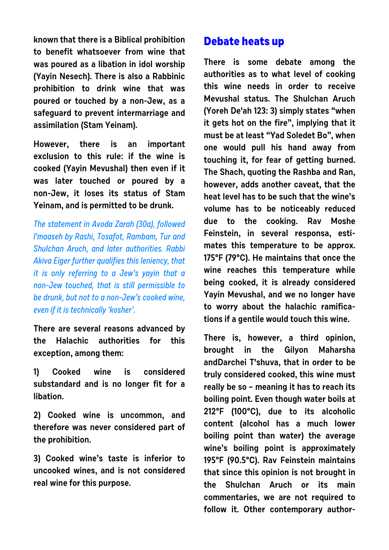**known that there is a Biblical prohibition to benefit whatsoever from wine that was poured as a libation in idol worship (Yayin Nesech). There is also a Rabbinic prohibition to drink wine that was poured or touched by a non-Jew, as a safeguard to prevent intermarriage and assimilation (Stam Yeinam).**

**However, there is an important exclusion to this rule: if the wine is cooked (Yayin Mevushal) then even if it was later touched or poured by a non-Jew, it loses its status of Stam Yeinam, and is permitted to be drunk.**

The statement in Avoda Zarah (30a), followed l'maaseh by Rashi, Tosafot, Rambam, Tur and Shulchan Aruch, and later authorities. Rabbi Akiva Eiger further qualifies this leniency, that it is only referring to a Jew's yayin that a non-Jew touched, that is still permissible to be drunk, but not to a non-Jew's cooked wine, even if it is technically 'kosher'.

**There are several reasons advanced by the Halachic authorities for this exception, among them:** 

**1) Cooked wine is considered substandard and is no longer fit for a libation.** 

**2) Cooked wine is uncommon, and therefore was never considered part of the prohibition.** 

**3) Cooked wine's taste is inferior to uncooked wines, and is not considered real wine for this purpose.**

#### **Debate heats up**

**There is some debate among the authorities as to what level of cooking this wine needs in order to receive Mevushal status. The Shulchan Aruch (Yoreh De'ah 123: 3) simply states "when it gets hot on the fire", implying that it must be at least "Yad Soledet Bo", when one would pull his hand away from touching it, for fear of getting burned. The Shach, quoting the Rashba and Ran, however, adds another caveat, that the heat level has to be such that the wine's volume has to be noticeably reduced due to the cooking. Rav Moshe Feinstein, in several responsa, estimates this temperature to be approx. 175°F (79°C). He maintains that once the wine reaches this temperature while being cooked, it is already considered Yayin Mevushal, and we no longer have to worry about the halachic ramifications if a gentile would touch this wine.**

**There is, however, a third opinion, brought in the Gilyon Maharsha andDarchei T'shuva, that in order to be truly considered cooked, this wine must really be so – meaning it has to reach its boiling point. Even though water boils at 212°F (100°C), due to its alcoholic content (alcohol has a much lower boiling point than water) the average wine's boiling point is approximately 195°F (90.5°C). Rav Feinstein maintains that since this opinion is not brought in the Shulchan Aruch or its main commentaries, we are not required to follow it. Other contemporary author-**